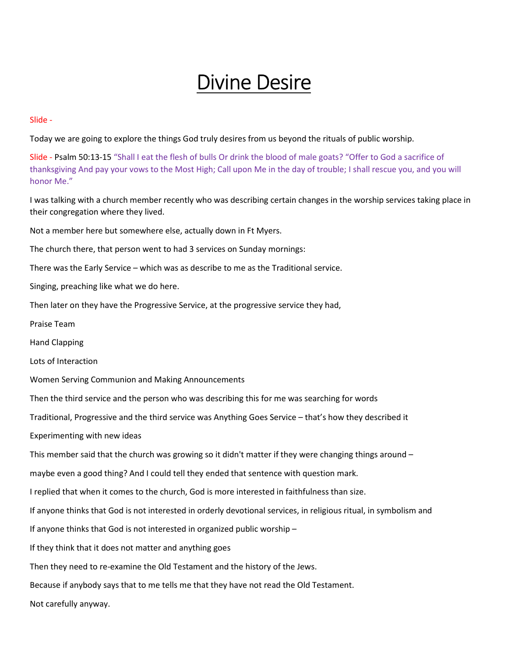## Divine Desire

Slide -

Today we are going to explore the things God truly desires from us beyond the rituals of public worship.

Slide - Psalm 50:13-15 "Shall I eat the flesh of bulls Or drink the blood of male goats? "Offer to God a sacrifice of thanksgiving And pay your vows to the Most High; Call upon Me in the day of trouble; I shall rescue you, and you will honor Me."

I was talking with a church member recently who was describing certain changes in the worship services taking place in their congregation where they lived.

Not a member here but somewhere else, actually down in Ft Myers.

The church there, that person went to had 3 services on Sunday mornings:

There was the Early Service – which was as describe to me as the Traditional service.

Singing, preaching like what we do here.

Then later on they have the Progressive Service, at the progressive service they had,

Praise Team

Hand Clapping

Lots of Interaction

Women Serving Communion and Making Announcements

Then the third service and the person who was describing this for me was searching for words

Traditional, Progressive and the third service was Anything Goes Service – that's how they described it

Experimenting with new ideas

This member said that the church was growing so it didn't matter if they were changing things around –

maybe even a good thing? And I could tell they ended that sentence with question mark.

I replied that when it comes to the church, God is more interested in faithfulness than size.

If anyone thinks that God is not interested in orderly devotional services, in religious ritual, in symbolism and

If anyone thinks that God is not interested in organized public worship –

If they think that it does not matter and anything goes

Then they need to re-examine the Old Testament and the history of the Jews.

Because if anybody says that to me tells me that they have not read the Old Testament.

Not carefully anyway.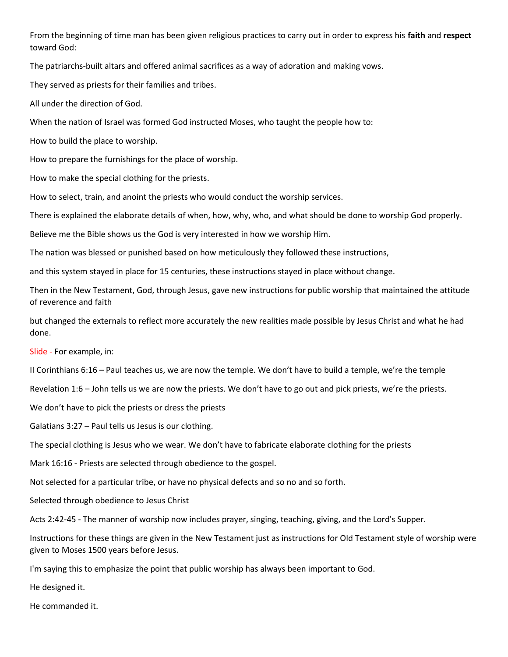From the beginning of time man has been given religious practices to carry out in order to express his faith and respect toward God:

The patriarchs-built altars and offered animal sacrifices as a way of adoration and making vows.

They served as priests for their families and tribes.

All under the direction of God.

When the nation of Israel was formed God instructed Moses, who taught the people how to:

How to build the place to worship.

How to prepare the furnishings for the place of worship.

How to make the special clothing for the priests.

How to select, train, and anoint the priests who would conduct the worship services.

There is explained the elaborate details of when, how, why, who, and what should be done to worship God properly.

Believe me the Bible shows us the God is very interested in how we worship Him.

The nation was blessed or punished based on how meticulously they followed these instructions,

and this system stayed in place for 15 centuries, these instructions stayed in place without change.

Then in the New Testament, God, through Jesus, gave new instructions for public worship that maintained the attitude of reverence and faith

but changed the externals to reflect more accurately the new realities made possible by Jesus Christ and what he had done.

Slide - For example, in:

II Corinthians 6:16 – Paul teaches us, we are now the temple. We don't have to build a temple, we're the temple

Revelation 1:6 – John tells us we are now the priests. We don't have to go out and pick priests, we're the priests.

We don't have to pick the priests or dress the priests

Galatians 3:27 – Paul tells us Jesus is our clothing.

The special clothing is Jesus who we wear. We don't have to fabricate elaborate clothing for the priests

Mark 16:16 - Priests are selected through obedience to the gospel.

Not selected for a particular tribe, or have no physical defects and so no and so forth.

Selected through obedience to Jesus Christ

Acts 2:42-45 - The manner of worship now includes prayer, singing, teaching, giving, and the Lord's Supper.

Instructions for these things are given in the New Testament just as instructions for Old Testament style of worship were given to Moses 1500 years before Jesus.

I'm saying this to emphasize the point that public worship has always been important to God.

He designed it.

He commanded it.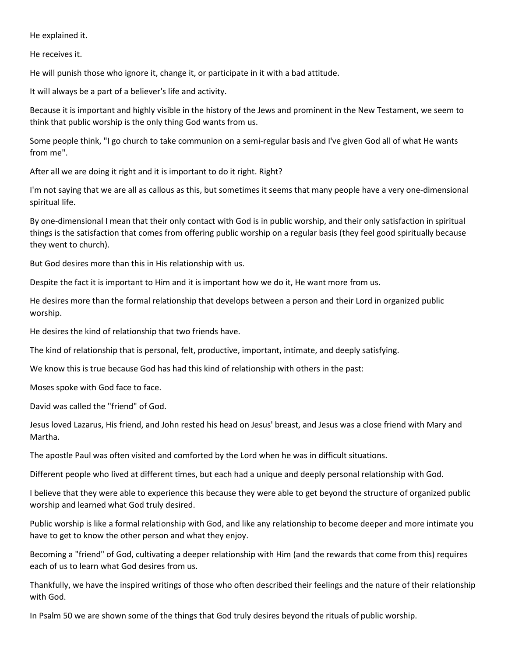He explained it.

He receives it.

He will punish those who ignore it, change it, or participate in it with a bad attitude.

It will always be a part of a believer's life and activity.

Because it is important and highly visible in the history of the Jews and prominent in the New Testament, we seem to think that public worship is the only thing God wants from us.

Some people think, "I go church to take communion on a semi-regular basis and I've given God all of what He wants from me".

After all we are doing it right and it is important to do it right. Right?

I'm not saying that we are all as callous as this, but sometimes it seems that many people have a very one-dimensional spiritual life.

By one-dimensional I mean that their only contact with God is in public worship, and their only satisfaction in spiritual things is the satisfaction that comes from offering public worship on a regular basis (they feel good spiritually because they went to church).

But God desires more than this in His relationship with us.

Despite the fact it is important to Him and it is important how we do it, He want more from us.

He desires more than the formal relationship that develops between a person and their Lord in organized public worship.

He desires the kind of relationship that two friends have.

The kind of relationship that is personal, felt, productive, important, intimate, and deeply satisfying.

We know this is true because God has had this kind of relationship with others in the past:

Moses spoke with God face to face.

David was called the "friend" of God.

Jesus loved Lazarus, His friend, and John rested his head on Jesus' breast, and Jesus was a close friend with Mary and Martha.

The apostle Paul was often visited and comforted by the Lord when he was in difficult situations.

Different people who lived at different times, but each had a unique and deeply personal relationship with God.

I believe that they were able to experience this because they were able to get beyond the structure of organized public worship and learned what God truly desired.

Public worship is like a formal relationship with God, and like any relationship to become deeper and more intimate you have to get to know the other person and what they enjoy.

Becoming a "friend" of God, cultivating a deeper relationship with Him (and the rewards that come from this) requires each of us to learn what God desires from us.

Thankfully, we have the inspired writings of those who often described their feelings and the nature of their relationship with God.

In Psalm 50 we are shown some of the things that God truly desires beyond the rituals of public worship.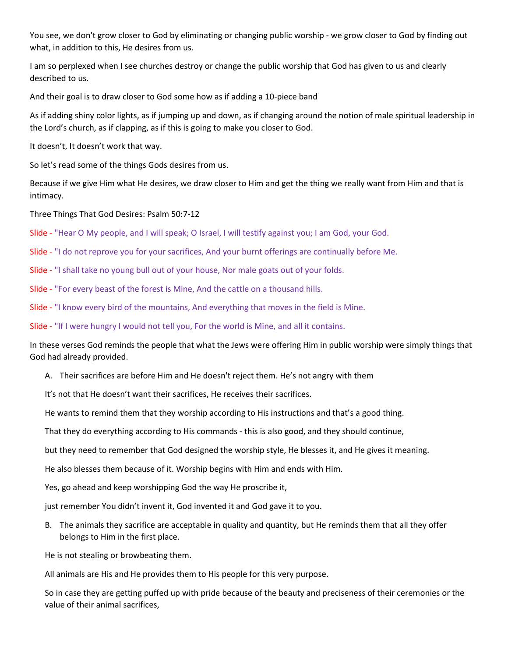You see, we don't grow closer to God by eliminating or changing public worship - we grow closer to God by finding out what, in addition to this, He desires from us.

I am so perplexed when I see churches destroy or change the public worship that God has given to us and clearly described to us.

And their goal is to draw closer to God some how as if adding a 10-piece band

As if adding shiny color lights, as if jumping up and down, as if changing around the notion of male spiritual leadership in the Lord's church, as if clapping, as if this is going to make you closer to God.

It doesn't, It doesn't work that way.

So let's read some of the things Gods desires from us.

Because if we give Him what He desires, we draw closer to Him and get the thing we really want from Him and that is intimacy.

Three Things That God Desires: Psalm 50:7-12

Slide - "Hear O My people, and I will speak; O Israel, I will testify against you; I am God, your God.

Slide - "I do not reprove you for your sacrifices, And your burnt offerings are continually before Me.

Slide - "I shall take no young bull out of your house, Nor male goats out of your folds.

Slide - "For every beast of the forest is Mine, And the cattle on a thousand hills.

Slide - "I know every bird of the mountains, And everything that moves in the field is Mine.

Slide - "If I were hungry I would not tell you, For the world is Mine, and all it contains.

In these verses God reminds the people that what the Jews were offering Him in public worship were simply things that God had already provided.

A. Their sacrifices are before Him and He doesn't reject them. He's not angry with them

It's not that He doesn't want their sacrifices, He receives their sacrifices.

He wants to remind them that they worship according to His instructions and that's a good thing.

That they do everything according to His commands - this is also good, and they should continue,

but they need to remember that God designed the worship style, He blesses it, and He gives it meaning.

He also blesses them because of it. Worship begins with Him and ends with Him.

Yes, go ahead and keep worshipping God the way He proscribe it,

just remember You didn't invent it, God invented it and God gave it to you.

B. The animals they sacrifice are acceptable in quality and quantity, but He reminds them that all they offer belongs to Him in the first place.

He is not stealing or browbeating them.

All animals are His and He provides them to His people for this very purpose.

So in case they are getting puffed up with pride because of the beauty and preciseness of their ceremonies or the value of their animal sacrifices,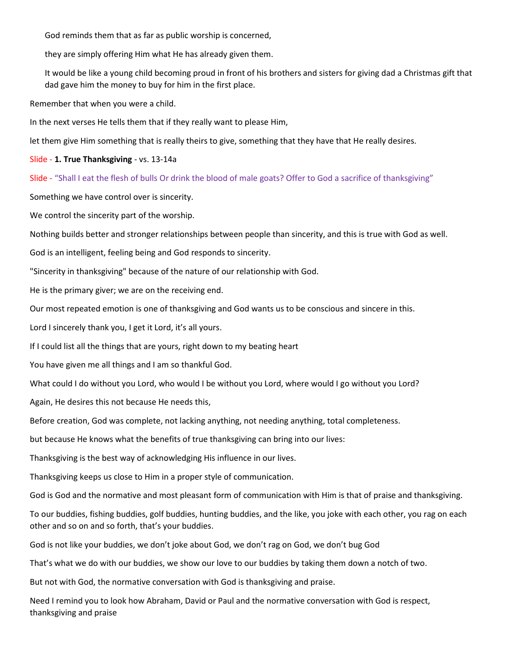God reminds them that as far as public worship is concerned,

they are simply offering Him what He has already given them.

It would be like a young child becoming proud in front of his brothers and sisters for giving dad a Christmas gift that dad gave him the money to buy for him in the first place.

Remember that when you were a child.

In the next verses He tells them that if they really want to please Him,

let them give Him something that is really theirs to give, something that they have that He really desires.

Slide - 1. True Thanksgiving - vs. 13-14a

Slide - "Shall I eat the flesh of bulls Or drink the blood of male goats? Offer to God a sacrifice of thanksgiving"

Something we have control over is sincerity.

We control the sincerity part of the worship.

Nothing builds better and stronger relationships between people than sincerity, and this is true with God as well.

God is an intelligent, feeling being and God responds to sincerity.

"Sincerity in thanksgiving" because of the nature of our relationship with God.

He is the primary giver; we are on the receiving end.

Our most repeated emotion is one of thanksgiving and God wants us to be conscious and sincere in this.

Lord I sincerely thank you, I get it Lord, it's all yours.

If I could list all the things that are yours, right down to my beating heart

You have given me all things and I am so thankful God.

What could I do without you Lord, who would I be without you Lord, where would I go without you Lord?

Again, He desires this not because He needs this,

Before creation, God was complete, not lacking anything, not needing anything, total completeness.

but because He knows what the benefits of true thanksgiving can bring into our lives:

Thanksgiving is the best way of acknowledging His influence in our lives.

Thanksgiving keeps us close to Him in a proper style of communication.

God is God and the normative and most pleasant form of communication with Him is that of praise and thanksgiving.

To our buddies, fishing buddies, golf buddies, hunting buddies, and the like, you joke with each other, you rag on each other and so on and so forth, that's your buddies.

God is not like your buddies, we don't joke about God, we don't rag on God, we don't bug God

That's what we do with our buddies, we show our love to our buddies by taking them down a notch of two.

But not with God, the normative conversation with God is thanksgiving and praise.

Need I remind you to look how Abraham, David or Paul and the normative conversation with God is respect, thanksgiving and praise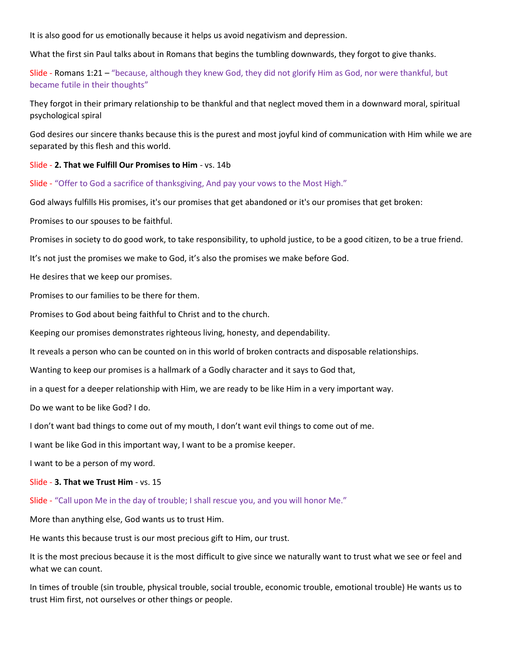It is also good for us emotionally because it helps us avoid negativism and depression.

What the first sin Paul talks about in Romans that begins the tumbling downwards, they forgot to give thanks.

Slide - Romans 1:21 – "because, although they knew God, they did not glorify Him as God, nor were thankful, but became futile in their thoughts"

They forgot in their primary relationship to be thankful and that neglect moved them in a downward moral, spiritual psychological spiral

God desires our sincere thanks because this is the purest and most joyful kind of communication with Him while we are separated by this flesh and this world.

Slide - 2. That we Fulfill Our Promises to Him - vs. 14b

Slide - "Offer to God a sacrifice of thanksgiving, And pay your vows to the Most High."

God always fulfills His promises, it's our promises that get abandoned or it's our promises that get broken:

Promises to our spouses to be faithful.

Promises in society to do good work, to take responsibility, to uphold justice, to be a good citizen, to be a true friend.

It's not just the promises we make to God, it's also the promises we make before God.

He desires that we keep our promises.

Promises to our families to be there for them.

Promises to God about being faithful to Christ and to the church.

Keeping our promises demonstrates righteous living, honesty, and dependability.

It reveals a person who can be counted on in this world of broken contracts and disposable relationships.

Wanting to keep our promises is a hallmark of a Godly character and it says to God that,

in a quest for a deeper relationship with Him, we are ready to be like Him in a very important way.

Do we want to be like God? I do.

I don't want bad things to come out of my mouth, I don't want evil things to come out of me.

I want be like God in this important way, I want to be a promise keeper.

I want to be a person of my word.

## Slide - 3. That we Trust Him - vs. 15

Slide - "Call upon Me in the day of trouble; I shall rescue you, and you will honor Me."

More than anything else, God wants us to trust Him.

He wants this because trust is our most precious gift to Him, our trust.

It is the most precious because it is the most difficult to give since we naturally want to trust what we see or feel and what we can count.

In times of trouble (sin trouble, physical trouble, social trouble, economic trouble, emotional trouble) He wants us to trust Him first, not ourselves or other things or people.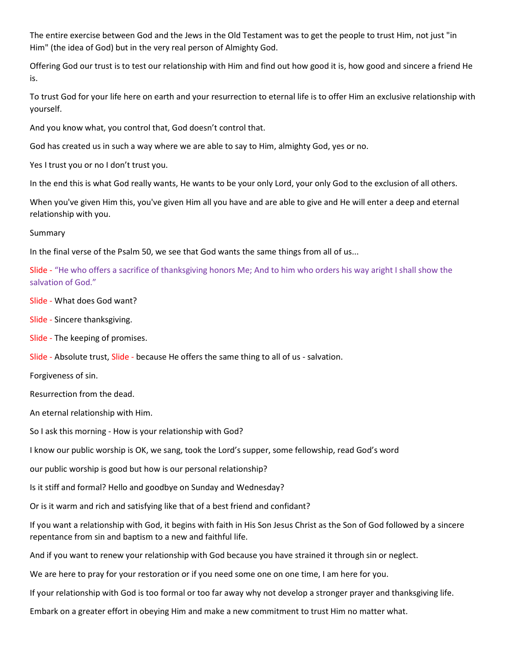The entire exercise between God and the Jews in the Old Testament was to get the people to trust Him, not just "in Him" (the idea of God) but in the very real person of Almighty God.

Offering God our trust is to test our relationship with Him and find out how good it is, how good and sincere a friend He is.

To trust God for your life here on earth and your resurrection to eternal life is to offer Him an exclusive relationship with yourself.

And you know what, you control that, God doesn't control that.

God has created us in such a way where we are able to say to Him, almighty God, yes or no.

Yes I trust you or no I don't trust you.

In the end this is what God really wants, He wants to be your only Lord, your only God to the exclusion of all others.

When you've given Him this, you've given Him all you have and are able to give and He will enter a deep and eternal relationship with you.

Summary

In the final verse of the Psalm 50, we see that God wants the same things from all of us...

Slide - "He who offers a sacrifice of thanksgiving honors Me; And to him who orders his way aright I shall show the salvation of God."

Slide - What does God want?

Slide - Sincere thanksgiving.

Slide - The keeping of promises.

Slide - Absolute trust, Slide - because He offers the same thing to all of us - salvation.

Forgiveness of sin.

Resurrection from the dead.

An eternal relationship with Him.

So I ask this morning - How is your relationship with God?

I know our public worship is OK, we sang, took the Lord's supper, some fellowship, read God's word

our public worship is good but how is our personal relationship?

Is it stiff and formal? Hello and goodbye on Sunday and Wednesday?

Or is it warm and rich and satisfying like that of a best friend and confidant?

If you want a relationship with God, it begins with faith in His Son Jesus Christ as the Son of God followed by a sincere repentance from sin and baptism to a new and faithful life.

And if you want to renew your relationship with God because you have strained it through sin or neglect.

We are here to pray for your restoration or if you need some one on one time, I am here for you.

If your relationship with God is too formal or too far away why not develop a stronger prayer and thanksgiving life.

Embark on a greater effort in obeying Him and make a new commitment to trust Him no matter what.